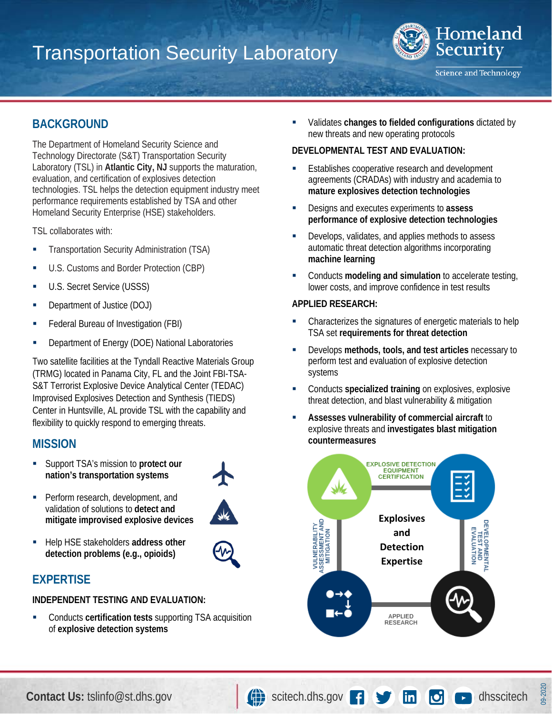# Transportation Security Laboratory



**Science and Technology** 

# **BACKGROUND**

The Department of Homeland Security Science and Technology Directorate (S&T) Transportation Security Laboratory (TSL) in **Atlantic City, NJ** supports the maturation, evaluation, and certification of explosives detection technologies. TSL helps the detection equipment industry meet performance requirements established by TSA and other Homeland Security Enterprise (HSE) stakeholders.

TSL collaborates with:

- **Transportation Security Administration (TSA)**
- **U.S. Customs and Border Protection (CBP)**
- **U.S. Secret Service (USSS)**
- Department of Justice (DOJ)
- Federal Bureau of Investigation (FBI)
- **-** Department of Energy (DOE) National Laboratories

Two satellite facilities at the Tyndall Reactive Materials Group (TRMG) located in Panama City, FL and the Joint FBI-TSA-S&T Terrorist Explosive Device Analytical Center (TEDAC) Improvised Explosives Detection and Synthesis (TIEDS) Center in Huntsville, AL provide TSL with the capability and flexibility to quickly respond to emerging threats.

# **MISSION**

 Support TSA's mission to **protect our nation's transportation systems**



- Perform research, development, and validation of solutions to **detect and mitigate improvised explosive devices**
- **Help HSE stakeholders address other detection problems (e.g., opioids)**

# **EXPERTISE**

#### **INDEPENDENT TESTING AND EVALUATION:**

 Conducts **certification tests** supporting TSA acquisition of **explosive detection systems**

 Validates **changes to fielded configurations** dictated by new threats and new operating protocols

#### **DEVELOPMENTAL TEST AND EVALUATION:**

- **Establishes cooperative research and development** agreements (CRADAs) with industry and academia to **mature explosives detection technologies**
- Designs and executes experiments to **assess performance of explosive detection technologies**
- **-** Develops, validates, and applies methods to assess automatic threat detection algorithms incorporating **machine learning**
- Conducts **modeling and simulation** to accelerate testing, lower costs, and improve confidence in test results

#### **APPLIED RESEARCH:**

- Characterizes the signatures of energetic materials to help TSA set **requirements for threat detection**
- Develops **methods, tools, and test articles** necessary to perform test and evaluation of explosive detection systems
- Conducts **specialized training** on explosives, explosive threat detection, and blast vulnerability & mitigation
- **Assesses vulnerability of commercial aircraft** to explosive threats and **investigates blast mitigation countermeasures**



09-2020